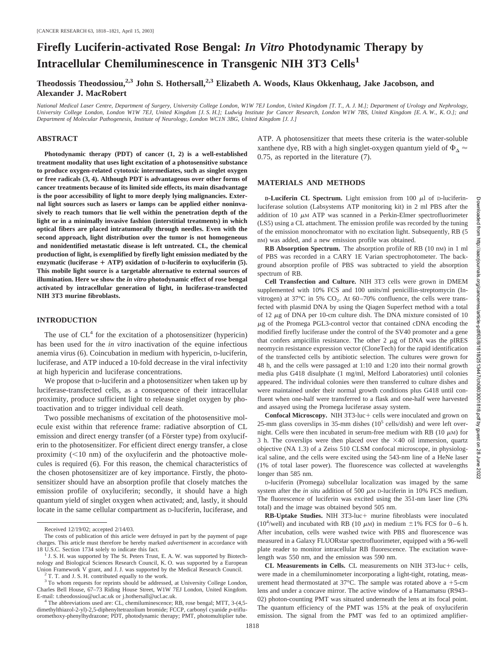# **Firefly Luciferin-activated Rose Bengal:** *In Vitro* **Photodynamic Therapy by Intracellular Chemiluminescence in Transgenic NIH 3T3 Cells<sup>1</sup>**

**Theodossis Theodossiou,2,3 John S. Hothersall,2,3 Elizabeth A. Woods, Klaus Okkenhaug, Jake Jacobson, and Alexander J. MacRobert**

*National Medical Laser Centre, Department of Surgery, University College London, W1W 7EJ London, United Kingdom [T. T., A. J. M.]; Department of Urology and Nephrology, University College London, London W1W 7EJ, United Kingdom [J. S. H.]; Ludwig Institute for Cancer Research, London W1W 7BS, United Kingdom [E. A. W., K. O.]; and Department of Molecular Pathogenesis, Institute of Neurology, London WC1N 3BG, United Kingdom [J. J.]*

### **ABSTRACT**

**Photodynamic therapy (PDT) of cancer (1, 2) is a well-established treatment modality that uses light excitation of a photosensitive substance to produce oxygen-related cytotoxic intermediates, such as singlet oxygen or free radicals (3, 4). Although PDT is advantageous over other forms of cancer treatments because of its limited side effects, its main disadvantage is the poor accessibility of light to more deeply lying malignancies. External light sources such as lasers or lamps can be applied either noninvasively to reach tumors that lie well within the penetration depth of the light or in a minimally invasive fashion (interstitial treatments) in which optical fibers are placed intratumorally through needles. Even with the second approach, light distribution over the tumor is not homogeneous and nonidentified metastatic disease is left untreated. CL, the chemical production of light, is exemplified by firefly light emission mediated by the enzymatic (luciferase ATP) oxidation of D-luciferin to oxyluciferin (5). This mobile light source is a targetable alternative to external sources of illumination. Here we show the** *in vitro* **photodynamic effect of rose bengal activated by intracellular generation of light, in luciferase-transfected NIH 3T3 murine fibroblasts.**

## **INTRODUCTION**

The use of  $CL<sup>4</sup>$  for the excitation of a photosensitizer (hypericin) has been used for the *in vitro* inactivation of the equine infectious anemia virus (6). Coincubation in medium with hypericin, D-luciferin, luciferase, and ATP induced a 10-fold decrease in the viral infectivity at high hypericin and luciferase concentrations.

We propose that D-luciferin and a photosensitizer when taken up by luciferase-transfected cells, as a consequence of their intracellular proximity, produce sufficient light to release singlet oxygen by photoactivation and to trigger individual cell death.

Two possible mechanisms of excitation of the photosensitive molecule exist within that reference frame: radiative absorption of CL emission and direct energy transfer (of a Förster type) from oxyluciferin to the photosensitizer. For efficient direct energy transfer, a close proximity  $(< 10$  nm) of the oxyluciferin and the photoactive molecules is required (6). For this reason, the chemical characteristics of the chosen photosensitizer are of key importance. Firstly, the photosensitizer should have an absorption profile that closely matches the emission profile of oxyluciferin; secondly, it should have a high quantum yield of singlet oxygen when activated; and, lastly, it should locate in the same cellular compartment as D-luciferin, luciferase, and ATP. A photosensitizer that meets these criteria is the water-soluble xanthene dye, RB with a high singlet-oxygen quantum yield of  $\Phi_{\Delta} \approx$ 0.75, as reported in the literature (7).

#### **MATERIALS AND METHODS**

**D-Luciferin CL Spectrum.** Light emission from 100  $\mu$ l of D-luciferinluciferase solution (Labsystems ATP monitoring kit) in 2 ml PBS after the addition of 10  $\mu$ M ATP was scanned in a Perkin-Elmer spectrofluorimeter (LS5) using a CL attachment. The emission profile was recorded by the tuning of the emission monochromator with no excitation light. Subsequently, RB (5 nM) was added, and a new emission profile was obtained.

**RB Absorption Spectrum.** The absorption profile of RB (10 nM) in 1 ml of PBS was recorded in a CARY 1E Varian spectrophotometer. The background absorption profile of PBS was subtracted to yield the absorption spectrum of RB.

**Cell Transfection and Culture.** NIH 3T3 cells were grown in DMEM supplemented with 10% FCS and 100 units/ml penicillin-streptomycin (Invitrogen) at  $37^{\circ}$ C in 5% CO<sub>2</sub>. At  $60-70%$  confluence, the cells were transfected with plasmid DNA by using the Qiagen Superfect method with a total of 12  $\mu$ g of DNA per 10-cm culture dish. The DNA mixture consisted of 10  $\mu$ g of the Promega PGL3-control vector that contained cDNA encoding the modified firefly luciferase under the control of the SV40 promoter and a gene that confers ampicillin resistance. The other  $2 \mu g$  of DNA was the pIRES neomycin resistance expression vector (CloneTech) for the rapid identification of the transfected cells by antibiotic selection. The cultures were grown for 48 h, and the cells were passaged at 1:10 and 1:20 into their normal growth media plus G418 disulphate (1 mg/ml, Melford Laboratories) until colonies appeared. The individual colonies were then transferred to culture dishes and were maintained under their normal growth conditions plus G418 until confluent when one-half were transferred to a flask and one-half were harvested and assayed using the Promega luciferase assay system.

**Confocal Microscopy.** NIH 3T3-luc + cells were inoculated and grown on 25-mm glass coverslips in 35-mm dishes  $(10^5 \text{ cells/dish})$  and were left overnight. Cells were then incubated in serum-free medium with RB (10  $\mu$ M) for 3 h. The coverslips were then placed over the  $\times$ 40 oil immersion, quartz objective (NA 1.3) of a Zeiss 510 CLSM confocal microscope, in physiological saline, and the cells were excited using the 543-nm line of a HeNe laser (1% of total laser power). The fluorescence was collected at wavelengths longer than 585 nm.

D-luciferin (Promega) subcellular localization was imaged by the same system after the *in situ* addition of 500  $\mu$ M D-luciferin in 10% FCS medium. The fluorescence of luciferin was excited using the 351-nm laser line (3% total) and the image was obtained beyond 505 nm.

**RB-Uptake Studies.** NIH 3T3-luc+ murine fibroblasts were inoculated (10<sup>4</sup>/well) and incubated with RB (10  $\mu$ M) in medium  $\pm$ 1% FCS for 0–6 h. After incubation, cells were washed twice with PBS and fluorescence was measured in a Galaxy FLUORstar spectrofluorimeter, equipped with a 96-well plate reader to monitor intracellular RB fluorescence. The excitation wavelength was 550 nm, and the emission was 590 nm.

**CL Measurements in Cells.** CL measurements on NIH 3T3-luc+ cells, were made in a chemiluminometer incorporating a light-tight, rotating, measurement head thermostated at  $37^{\circ}$ C. The sample was rotated above a +5-cm lens and under a concave mirror. The active window of a Hamamatsu (R943– 02) photon-counting PMT was situated underneath the lens at its focal point. The quantum efficiency of the PMT was 15% at the peak of oxyluciferin emission. The signal from the PMT was fed to an optimized amplifier-

Received 12/19/02; accepted 2/14/03.

The costs of publication of this article were defrayed in part by the payment of page charges. This article must therefore be hereby marked *advertisement* in accordance with 18 U.S.C. Section 1734 solely to indicate this fact.<br><sup>1</sup> J. S. H. was supported by The St. Peters Trust, E. A. W. was supported by Biotech-

nology and Biological Sciences Research Council, K. O. was supported by a European Union Framework V grant, and J. J. was supported by the Medical Research Council. <sup>2</sup> T. T. and J. S. H. contributed equally to the work.

<sup>&</sup>lt;sup>3</sup> To whom requests for reprints should be addressed, at University College London, Charles Bell House, 67–73 Riding House Street, W1W 7EJ London, United Kingdom.

 $4$  The abbreviations used are: CL, chemiluminescence; RB, rose bengal; MTT, 3-(4,5dimethylthiazol-2-yl)-2,5-diphenyltetrazolium bromide; FCCP, carbonyl cyanide *p-*trifluoromethoxy-phenylhydrazone; PDT, photodynamic therapy; PMT, photomultiplier tube.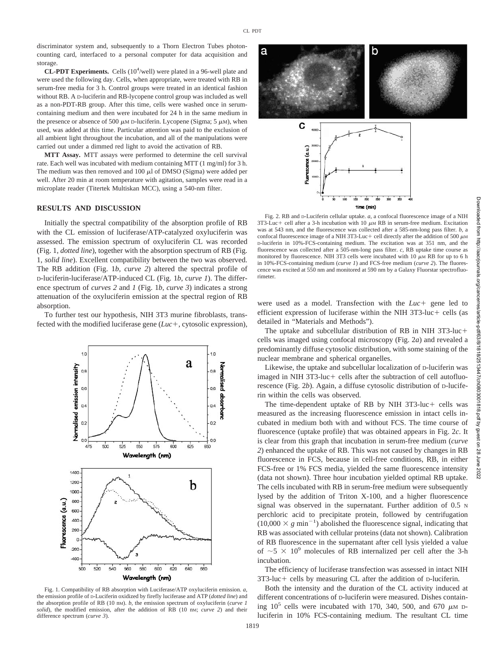discriminator system and, subsequently to a Thorn Electron Tubes photoncounting card, interfaced to a personal computer for data acquisition and storage.

**CL-PDT Experiments.** Cells  $(10<sup>4</sup>/well)$  were plated in a 96-well plate and were used the following day. Cells, when appropriate, were treated with RB in serum-free media for 3 h. Control groups were treated in an identical fashion without RB. A D-luciferin and RB-lycopene control group was included as well as a non-PDT-RB group. After this time, cells were washed once in serumcontaining medium and then were incubated for 24 h in the same medium in the presence or absence of 500  $\mu$ M D-luciferin. Lycopene (Sigma; 5  $\mu$ M), when used, was added at this time. Particular attention was paid to the exclusion of all ambient light throughout the incubation, and all of the manipulations were carried out under a dimmed red light to avoid the activation of RB.

**MTT Assay.** MTT assays were performed to determine the cell survival rate. Each well was incubated with medium containing MTT (1 mg/ml) for 3 h. The medium was then removed and  $100 \mu l$  of DMSO (Sigma) were added per well. After 20 min at room temperature with agitation, samples were read in a microplate reader (Titertek Multiskan MCC), using a 540-nm filter.

## **RESULTS AND DISCUSSION**

Initially the spectral compatibility of the absorption profile of RB with the CL emission of luciferase/ATP-catalyzed oxyluciferin was assessed. The emission spectrum of oxyluciferin CL was recorded (Fig. 1, *dotted line*), together with the absorption spectrum of RB (Fig. 1, *solid line*). Excellent compatibility between the two was observed. The RB addition (Fig. 1*b, curve 2*) altered the spectral profile of D-luciferin-luciferase/ATP-induced CL (Fig. 1*b, curve 1*). The difference spectrum of *curves 2* and *1* (Fig. 1*b, curve 3*) indicates a strong attenuation of the oxyluciferin emission at the spectral region of RB absorption.

To further test our hypothesis, NIH 3T3 murine fibroblasts, transfected with the modified luciferase gene  $(Luc, +, cytosolic expression)$ ,



Fig. 1. Compatibility of RB absorption with Luciferase/ATP oxyluciferin emission. *a,* the emission profile of D-Luciferin oxidized by firefly luciferase and ATP (*dotted line*) and the absorption profile of RB (10 nM). *b,* the emission spectrum of oxyluciferin (*curve 1 solid*), the modified emission, after the addition of RB (10 nM; *curve 2*) and their difference spectrum (*curve 3*).



Fig. 2. RB and D-Luciferin cellular uptake. *a,* a confocal fluorescence image of a NIH  $3T3-Luc +$  cell after a 3-h incubation with 10  $\mu$ M RB in serum-free medium. Excitation was at 543 nm, and the fluorescence was collected after a 585-nm-long pass filter. *b,* a confocal fluorescence image of a NIH 3T3-Luc + cell directly after the addition of 500  $\mu$ M D-luciferin in 10%-FCS-containing medium. The excitation was at 351 nm, and the fluorescence was collected after a 505-nm-long pass filter. *c,* RB uptake time course as monitored by fluorescence. NIH 3T3 cells were incubated with 10  $\mu$ M RB for up to 6 h in 10%-FCS-containing medium (*curve 1*) and FCS-free medium (*curve 2*). The fluorescence was excited at 550 nm and monitored at 590 nm by a Galaxy Fluorstar spectrofluorimeter.

were used as a model. Transfection with the  $Luc$  gene led to efficient expression of luciferase within the NIH  $3T3$ -luc + cells (as detailed in "Materials and Methods").

The uptake and subcellular distribution of RB in NIH 3T3-luc cells was imaged using confocal microscopy (Fig. 2*a*) and revealed a predominantly diffuse cytosolic distribution, with some staining of the nuclear membrane and spherical organelles.

Likewise, the uptake and subcellular localization of D-luciferin was imaged in NIH  $3T3$ -luc + cells after the subtraction of cell autofluorescence (Fig. 2*b*). Again, a diffuse cytosolic distribution of D-luciferin within the cells was observed.

The time-dependent uptake of RB by NIH  $3T3$ -luc + cells was measured as the increasing fluorescence emission in intact cells incubated in medium both with and without FCS. The time course of fluorescence (uptake profile) that was obtained appears in Fig. 2*c*. It is clear from this graph that incubation in serum-free medium (*curve 2*) enhanced the uptake of RB. This was not caused by changes in RB fluorescence in FCS, because in cell-free conditions, RB, in either FCS-free or 1% FCS media, yielded the same fluorescence intensity (data not shown). Three hour incubation yielded optimal RB uptake. The cells incubated with RB in serum-free medium were subsequently lysed by the addition of Triton X-100, and a higher fluorescence signal was observed in the supernatant. Further addition of 0.5 N perchloric acid to precipitate protein, followed by centrifugation  $(10,000 \times g \text{ min}^{-1})$  abolished the fluorescence signal, indicating that RB was associated with cellular proteins (data not shown). Calibration of RB fluorescence in the supernatant after cell lysis yielded a value of  $\sim$  5  $\times$  10<sup>9</sup> molecules of RB internalized per cell after the 3-h incubation.

The efficiency of luciferase transfection was assessed in intact NIH  $3T3$ -luc + cells by measuring CL after the addition of D-luciferin.

Both the intensity and the duration of the CL activity induced at different concentrations of D-luciferin were measured. Dishes containing  $10^5$  cells were incubated with 170, 340, 500, and 670  $\mu$ M Dluciferin in 10% FCS-containing medium. The resultant CL time

1819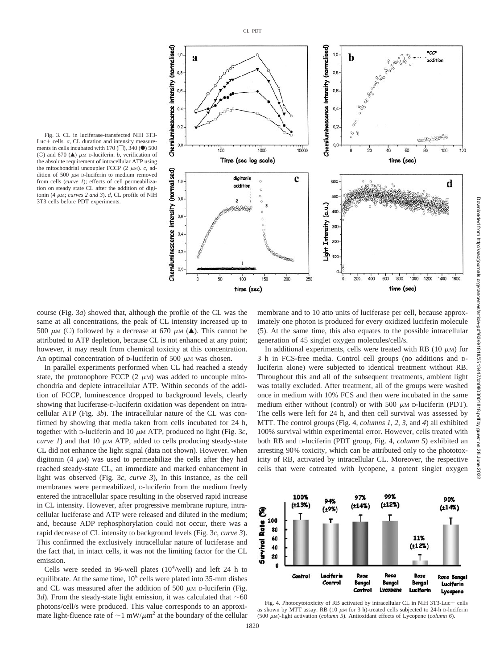

Fig. 3. CL in luciferase-transfected NIH 3T3- Luc $+$  cells.  $a$ , CL duration and intensity measure ments in cells incubated with 170  $\Box$ ), 340  $\circ$  500 (C) and 670 ( $\triangle$ )  $\mu$ M D-luciferin. *b*, verification of the absolute requirement of intracellular ATP using the mitochondrial uncoupler FCCP  $(2 \mu M)$ . *c*, addition of 500  $\mu$ M D-luciferin to medium removed from cells (*curve 1*); effects of cell permeabilization on steady state CL after the addition of digitonin (4  $\mu$ M; *curves 2 and 3). d, CL* profile of NIH 3T3 cells before PDT experiments.

course (Fig. 3*a*) showed that, although the profile of the CL was the same at all concentrations, the peak of CL intensity increased up to 500  $\mu$ M (C) followed by a decrease at 670  $\mu$ M ( $\blacktriangle$ ). This cannot be attributed to ATP depletion, because CL is not enhanced at any point; however, it may result from chemical toxicity at this concentration. An optimal concentration of  $D$ -luciferin of 500  $\mu$ M was chosen.

In parallel experiments performed when CL had reached a steady state, the protonophore FCCP  $(2 \mu M)$  was added to uncouple mitochondria and deplete intracellular ATP. Within seconds of the addition of FCCP, luminescence dropped to background levels, clearly showing that luciferase-D-luciferin oxidation was dependent on intracellular ATP (Fig. 3*b*). The intracellular nature of the CL was confirmed by showing that media taken from cells incubated for 24 h, together with D-luciferin and 10  $\mu$ M ATP, produced no light (Fig. 3*c*, *curve 1*) and that 10  $\mu$ M ATP, added to cells producing steady-state CL did not enhance the light signal (data not shown). However. when digitonin (4  $\mu$ M) was used to permeabilize the cells after they had reached steady-state CL, an immediate and marked enhancement in light was observed (Fig. 3*c, curve 3*), In this instance, as the cell membranes were permeabilized, D-luciferin from the medium freely entered the intracellular space resulting in the observed rapid increase in CL intensity. However, after progressive membrane rupture, intracellular luciferase and ATP were released and diluted in the medium; and, because ADP rephosphorylation could not occur, there was a rapid decrease of CL intensity to background levels (Fig. 3*c, curve 3*). This confirmed the exclusively intracellular nature of luciferase and the fact that, in intact cells, it was not the limiting factor for the CL emission.

Cells were seeded in 96-well plates  $(10<sup>4</sup>/well)$  and left 24 h to equilibrate. At the same time,  $10^5$  cells were plated into 35-mm dishes and CL was measured after the addition of 500  $\mu$ M D-luciferin (Fig. 3*d*). From the steady-state light emission, it was calculated that  $\sim$  60 photons/cell/s were produced. This value corresponds to an approximate light-fluence rate of  $\sim$  1 mW/ $\mu$ m<sup>2</sup> at the boundary of the cellular

membrane and to 10 atto units of luciferase per cell, because approximately one photon is produced for every oxidized luciferin molecule (5). At the same time, this also equates to the possible intracellular generation of 45 singlet oxygen molecules/cell/s.

In additional experiments, cells were treated with RB (10  $\mu$ M) for 3 h in FCS-free media. Control cell groups (no additions and Dluciferin alone) were subjected to identical treatment without RB. Throughout this and all of the subsequent treatments, ambient light was totally excluded. After treatment, all of the groups were washed once in medium with 10% FCS and then were incubated in the same medium either without (control) or with 500  $\mu$ M D-luciferin (PDT). The cells were left for 24 h, and then cell survival was assessed by MTT. The control groups (Fig. 4, *columns 1, 2, 3,* and *4*) all exhibited 100% survival within experimental error. However, cells treated with both RB and D-luciferin (PDT group, Fig. 4, *column 5*) exhibited an arresting 90% toxicity, which can be attributed only to the phototoxicity of RB, activated by intracellular CL. Moreover, the respective cells that were cotreated with lycopene, a potent singlet oxygen



Fig. 4. Photocytotoxicity of RB activated by intracellular CL in NIH 3T3-Luc+ cells as shown by MTT assay. RB (10  $\mu$ M for 3 h)-treated cells subjected to 24-h D-luciferin (500 M)-light activation (*column 5*). Antioxidant effects of Lycopene (*column 6*).